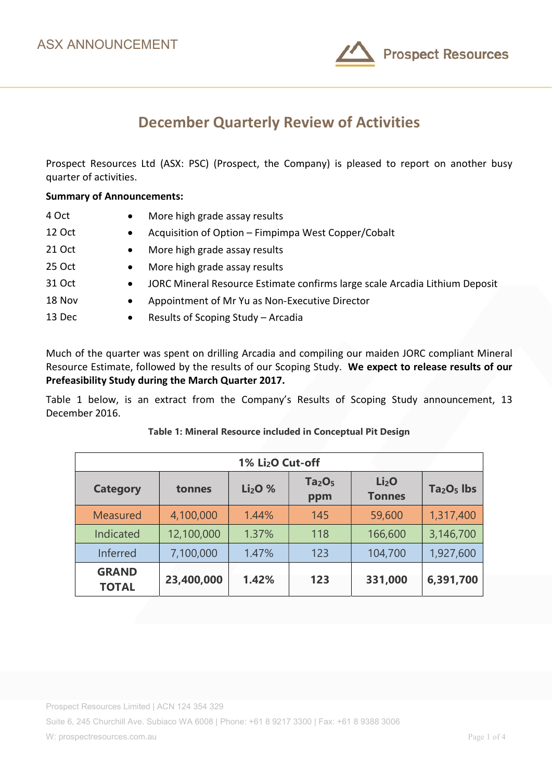

# December Quarterly Review of Activities

Prospect Resources Ltd (ASX: PSC) (Prospect, the Company) is pleased to report on another busy quarter of activities.

## Summary of Announcements:

| 4 Oct         | $\bullet$ | More high grade assay results                                               |
|---------------|-----------|-----------------------------------------------------------------------------|
| <b>12 Oct</b> | $\bullet$ | Acquisition of Option - Fimpimpa West Copper/Cobalt                         |
| 21 Oct        | $\bullet$ | More high grade assay results                                               |
| 25 Oct        | $\bullet$ | More high grade assay results                                               |
| 31 Oct        | $\bullet$ | JORC Mineral Resource Estimate confirms large scale Arcadia Lithium Deposit |
| 18 Nov        | $\bullet$ | Appointment of Mr Yu as Non-Executive Director                              |
| 13 Dec        | $\bullet$ | Results of Scoping Study - Arcadia                                          |

Much of the quarter was spent on drilling Arcadia and compiling our maiden JORC compliant Mineral Resource Estimate, followed by the results of our Scoping Study. We expect to release results of our Prefeasibility Study during the March Quarter 2017.

Table 1 below, is an extract from the Company's Results of Scoping Study announcement, 13 December 2016.

| 1% Li <sub>2</sub> O Cut-off |            |          |                                       |                                    |             |  |  |
|------------------------------|------------|----------|---------------------------------------|------------------------------------|-------------|--|--|
| <b>Category</b>              | tonnes     | $Li2O$ % | Ta <sub>2</sub> O <sub>5</sub><br>ppm | Li <sub>2</sub> O<br><b>Tonnes</b> | $Ta2O5$ lbs |  |  |
| <b>Measured</b>              | 4,100,000  | 1.44%    | 145                                   | 59,600                             | 1,317,400   |  |  |
| Indicated                    | 12,100,000 | 1.37%    | 118                                   | 166,600                            | 3,146,700   |  |  |
| Inferred                     | 7,100,000  | 1.47%    | 123                                   | 104,700                            | 1,927,600   |  |  |
| <b>GRAND</b><br><b>TOTAL</b> | 23,400,000 | 1.42%    | 123                                   | 331,000                            | 6,391,700   |  |  |

## Table 1: Mineral Resource included in Conceptual Pit Design

Prospect Resources Limited | ACN 124 354 329

Suite 6, 245 Churchill Ave. Subiaco WA 6008 | Phone: +61 8 9217 3300 | Fax: +61 8 9388 3006

W: prospectresources.com.au extended to the control of 4 and 2 and 2 and 2 and 2 and 2 and 2 and 2 and 2 and 2 and 2 and 2 and 2 and 2 and 2 and 2 and 2 and 2 and 2 and 2 and 2 and 2 and 2 and 2 and 2 and 2 and 2 and 2 and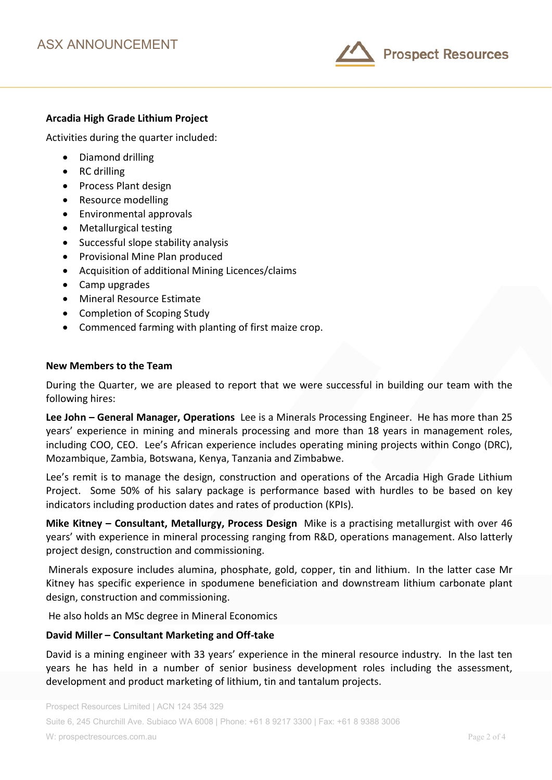

## Arcadia High Grade Lithium Project

Activities during the quarter included:

- Diamond drilling
- RC drilling
- Process Plant design
- Resource modelling
- Environmental approvals
- Metallurgical testing
- Successful slope stability analysis
- Provisional Mine Plan produced
- Acquisition of additional Mining Licences/claims
- Camp upgrades
- Mineral Resource Estimate
- Completion of Scoping Study
- Commenced farming with planting of first maize crop.

#### New Members to the Team

During the Quarter, we are pleased to report that we were successful in building our team with the following hires:

Lee John – General Manager, Operations Lee is a Minerals Processing Engineer. He has more than 25 years' experience in mining and minerals processing and more than 18 years in management roles, including COO, CEO. Lee's African experience includes operating mining projects within Congo (DRC), Mozambique, Zambia, Botswana, Kenya, Tanzania and Zimbabwe.

Lee's remit is to manage the design, construction and operations of the Arcadia High Grade Lithium Project. Some 50% of his salary package is performance based with hurdles to be based on key indicators including production dates and rates of production (KPIs).

Mike Kitney – Consultant, Metallurgy, Process Design Mike is a practising metallurgist with over 46 years' with experience in mineral processing ranging from R&D, operations management. Also latterly project design, construction and commissioning.

 Minerals exposure includes alumina, phosphate, gold, copper, tin and lithium. In the latter case Mr Kitney has specific experience in spodumene beneficiation and downstream lithium carbonate plant design, construction and commissioning.

He also holds an MSc degree in Mineral Economics

## David Miller – Consultant Marketing and Off-take

David is a mining engineer with 33 years' experience in the mineral resource industry. In the last ten years he has held in a number of senior business development roles including the assessment, development and product marketing of lithium, tin and tantalum projects.

Suite 6, 245 Churchill Ave. Subiaco WA 6008 | Phone: +61 8 9217 3300 | Fax: +61 8 9388 3006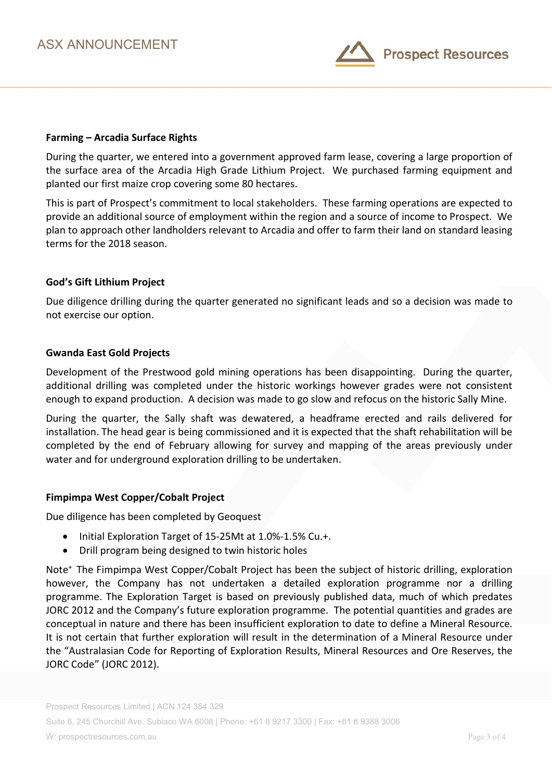

## Farming – Arcadia Surface Rights

During the quarter, we entered into a government approved farm lease, covering a large proportion of the surface area of the Arcadia High Grade Lithium Project. We purchased farming equipment and planted our first maize crop covering some 80 hectares.

This is part of Prospect's commitment to local stakeholders. These farming operations are expected to provide an additional source of employment within the region and a source of income to Prospect. We plan to approach other landholders relevant to Arcadia and offer to farm their land on standard leasing terms for the 2018 season.

## God's Gift Lithium Project

Due diligence drilling during the quarter generated no significant leads and so a decision was made to not exercise our option.

### Gwanda East Gold Projects

Development of the Prestwood gold mining operations has been disappointing. During the quarter, additional drilling was completed under the historic workings however grades were not consistent enough to expand production. A decision was made to go slow and refocus on the historic Sally Mine.

During the quarter, the Sally shaft was dewatered, a headframe erected and rails delivered for installation. The head gear is being commissioned and it is expected that the shaft rehabilitation will be completed by the end of February allowing for survey and mapping of the areas previously under water and for underground exploration drilling to be undertaken.

### Fimpimpa West Copper/Cobalt Project

Due diligence has been completed by Geoquest

- Initial Exploration Target of 15-25Mt at 1.0%-1.5% Cu.+.
- Drill program being designed to twin historic holes

Note<sup>+</sup> The Fimpimpa West Copper/Cobalt Project has been the subject of historic drilling, exploration however, the Company has not undertaken a detailed exploration programme nor a drilling programme. The Exploration Target is based on previously published data, much of which predates JORC 2012 and the Company's future exploration programme. The potential quantities and grades are conceptual in nature and there has been insufficient exploration to date to define a Mineral Resource. It is not certain that further exploration will result in the determination of a Mineral Resource under the "Australasian Code for Reporting of Exploration Results, Mineral Resources and Ore Reserves, the JORC Code" (JORC 2012).